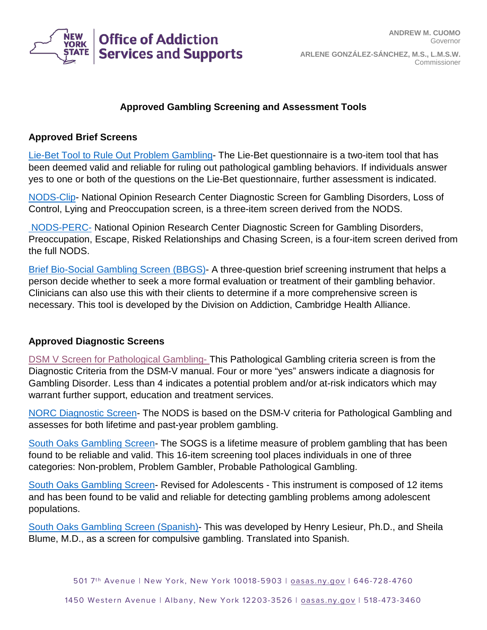

## **Approved Gambling Screening and Assessment Tools**

## **Approved Brief Screens**

[Lie-Bet Tool to Rule Out Problem Gambling-](http://www.ncpgambling.org/files/NPGAW/Lie_Bet_Tool.PDF) The Lie-Bet questionnaire is a two-item tool that has been deemed valid and reliable for ruling out pathological gambling behaviors. If individuals answer yes to one or both of the questions on the Lie-Bet questionnaire, further assessment is indicated.

[NODS-Clip-](http://www.calpg.org/wp-content/uploads/2014/10/NODS-CLiP-v1.pdf) National Opinion Research Center Diagnostic Screen for Gambling Disorders, Loss of Control, Lying and Preoccupation screen, is a three-item screen derived from the NODS.

[NODS-PERC-](http://www.ncrg.org/sites/default/files/uploads/docs/monographs/nods-perc.pdf) National Opinion Research Center Diagnostic Screen for Gambling Disorders, Preoccupation, Escape, Risked Relationships and Chasing Screen, is a four-item screen derived from the full NODS.

[Brief Bio-Social Gambling Screen \(BBGS\)-](http://www.ncrg.org/sites/default/files/uploads/imgs/ncrg_bbsg_magnet2.pdf) A three-question brief screening instrument that helps a person decide whether to seek a more formal evaluation or treatment of their gambling behavior. Clinicians can also use this with their clients to determine if a more comprehensive screen is necessary. This tool is developed by the Division on Addiction, Cambridge Health Alliance.

## **Approved Diagnostic Screens**

[DSM V Screen for Pathological Gambling-](https://oasas.ny.gov/dsm-v-pathological-gambling-diagnostic-form) This Pathological Gambling criteria screen is from the Diagnostic Criteria from the DSM-V manual. Four or more "yes" answers indicate a diagnosis for Gambling Disorder. Less than 4 indicates a potential problem and/or at-risk indicators which may warrant further support, education and treatment services.

[NORC Diagnostic Screen-](http://www.ncrg.org/sites/default/files/uploads/docs/monographs/nods_full.pdf) The NODS is based on the DSM-V criteria for Pathological Gambling and assesses for both lifetime and past-year problem gambling.

[South Oaks Gambling Screen-](http://www.ncpgambling.org/files/NPGAW/SOGS_Eng.pdf) The SOGS is a lifetime measure of problem gambling that has been found to be reliable and valid. This 16-item screening tool places individuals in one of three categories: Non-problem, Problem Gambler, Probable Pathological Gambling.

[South Oaks Gambling Screen-](http://www.ncpgambling.org/files/NPGAW/SOGS_RA.pdf) Revised for Adolescents - This instrument is composed of 12 items and has been found to be valid and reliable for detecting gambling problems among adolescent populations.

[South Oaks Gambling Screen](http://www.ipgap.indiana.edu/images/documents/SOGS_spanishversion.pdf) (Spanish)- This was developed by Henry Lesieur, Ph.D., and Sheila Blume, M.D., as a screen for compulsive gambling. Translated into Spanish.

501 7<sup>th</sup> Avenue | New York, New York 10018-5903 | [oasas.ny.gov](http://www.oasas.ny.gov/) | 646-728-4760